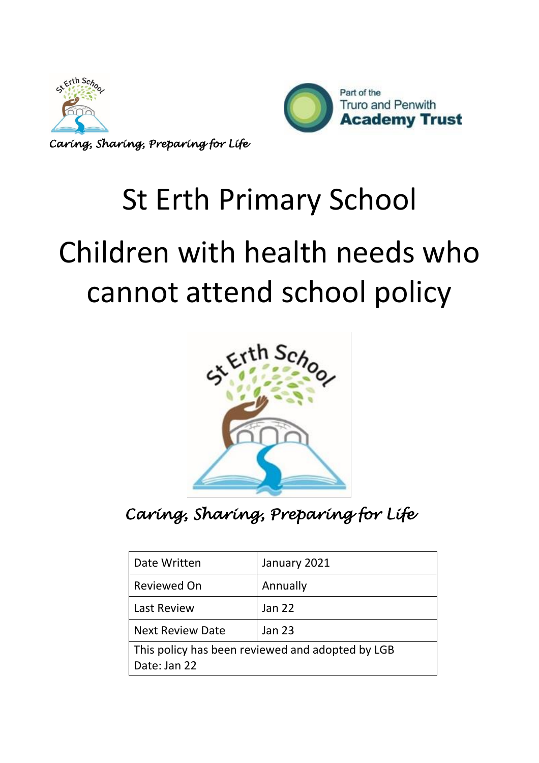

*Caring, Sharing, Preparing for Life*



# St Erth Primary School Children with health needs who cannot attend school policy



*Caring, Sharing, Preparing for Life* 

| Date Written            | January 2021                                     |
|-------------------------|--------------------------------------------------|
| <b>Reviewed On</b>      | Annually                                         |
| <b>Last Review</b>      | <b>Jan 22</b>                                    |
| <b>Next Review Date</b> | <b>Jan 23</b>                                    |
| Date: Jan 22            | This policy has been reviewed and adopted by LGB |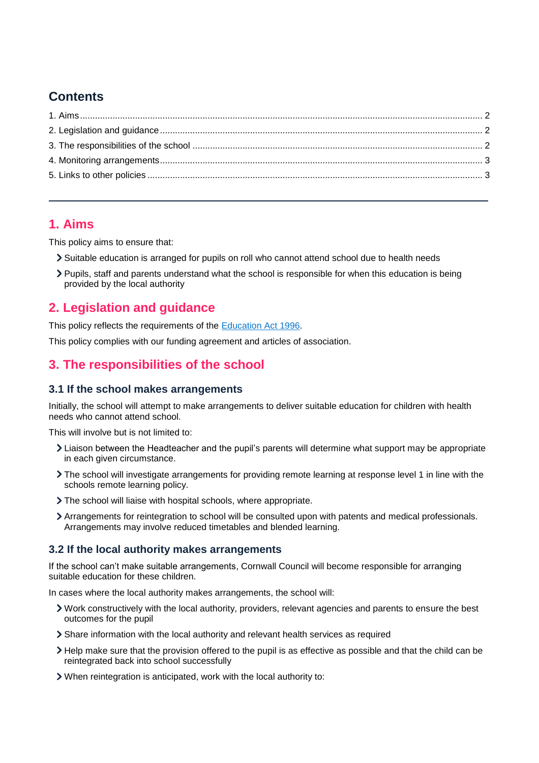# **Contents**

## <span id="page-1-0"></span>**1. Aims**

This policy aims to ensure that:

- Suitable education is arranged for pupils on roll who cannot attend school due to health needs
- Pupils, staff and parents understand what the school is responsible for when this education is being provided by the local authority

## <span id="page-1-1"></span>**2. Legislation and guidance**

This policy reflects the requirements of the [Education Act 1996.](http://www.legislation.gov.uk/ukpga/1996/56/section/19)

This policy complies with our funding agreement and articles of association.

## <span id="page-1-2"></span>**3. The responsibilities of the school**

#### **3.1 If the school makes arrangements**

Initially, the school will attempt to make arrangements to deliver suitable education for children with health needs who cannot attend school.

This will involve but is not limited to:

- Liaison between the Headteacher and the pupil's parents will determine what support may be appropriate in each given circumstance.
- The school will investigate arrangements for providing remote learning at response level 1 in line with the schools remote learning policy.
- The school will liaise with hospital schools, where appropriate.
- Arrangements for reintegration to school will be consulted upon with patents and medical professionals. Arrangements may involve reduced timetables and blended learning.

#### **3.2 If the local authority makes arrangements**

If the school can't make suitable arrangements, Cornwall Council will become responsible for arranging suitable education for these children.

In cases where the local authority makes arrangements, the school will:

- Work constructively with the local authority, providers, relevant agencies and parents to ensure the best outcomes for the pupil
- Share information with the local authority and relevant health services as required
- Help make sure that the provision offered to the pupil is as effective as possible and that the child can be reintegrated back into school successfully
- When reintegration is anticipated, work with the local authority to: